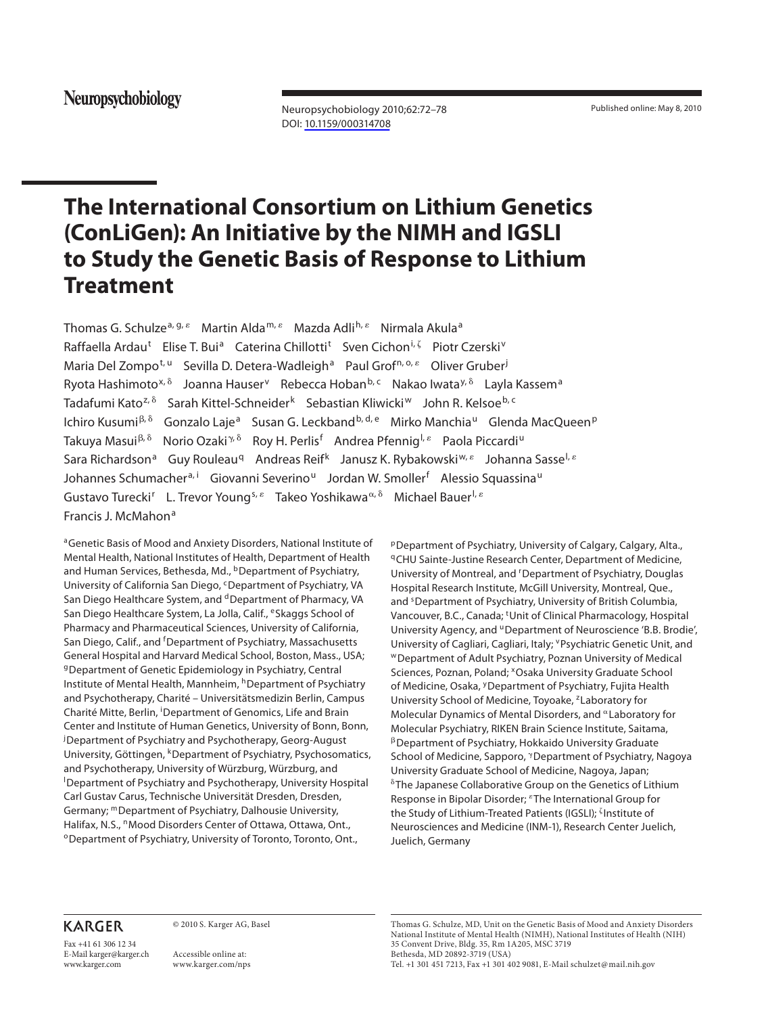Neuropsychobiology 2010;62:72–78 DOI: [10.1159/000314708](http://dx.doi.org/10.1159%2F000314708)

# **The International Consortium on Lithium Genetics (ConLiGen): An Initiative by the NIMH and IGSLI to Study the Genetic Basis of Response to Lithium Treatment**

Thomas G. Schulze<sup>a, g,  $\varepsilon$  Martin Alda<sup>m,  $\varepsilon$ </sup> Mazda Adli<sup>h,  $\varepsilon$ </sup> Nirmala Akula<sup>a</sup></sup> Raffaella Ardau<sup>t</sup> Elise T. Bui<sup>a</sup> Caterina Chillotti<sup>t</sup> Sven Cichon<sup>i, ζ</sup> Piotr Czerski<sup>v</sup> Maria Del Zompo<sup>t, u</sup> Sevilla D. Detera-Wadleigh<sup>a</sup> Paul Grof<sup>n, o,  $\varepsilon$  Oliver Gruber<sup>j</sup></sup> Ryota Hashimoto<sup>x,  $\delta$ </sup> Joanna Hauser<sup>v</sup> Rebecca Hoban<sup>b, c</sup> Nakao Iwata<sup>y,  $\delta$ </sup> Layla Kassem<sup>a</sup> Tadafumi Kato<sup>z,  $\delta$ </sup> Sarah Kittel-Schneider<sup>k</sup> Sebastian Kliwicki<sup>w</sup> John R. Kelsoe<sup>b, c</sup> lchiro Kusumi<sup>β, δ</sup> Gonzalo Laje<sup>a</sup> Susan G. Leckband<sup>b, d, e</sup> Mirko Manchia <sup>u</sup> Glenda MacQueen <sup>p</sup> Takuya Masui<sup>β, δ</sup> Norio Ozaki<sup>γ, δ</sup> Roy H. Perlis<sup>f</sup> Andrea Pfennig<sup>I, ε</sup> Paola Piccardi<sup>u</sup> Sara Richardson<sup>a</sup> Guy Rouleau<sup>q</sup> Andreas Reif<sup>k</sup> Janusz K. Rybakowski<sup>w, &</sup> Johanna Sasse<sup>l, &</sup> Johannes Schumacher<sup>a, i</sup> Giovanni Severino<sup>u</sup> Jordan W. Smoller<sup>f</sup> Alessio Squassina<sup>u</sup> Gustavo Turecki<sup>r</sup> L. Trevor Young<sup>s, &</sup> Takeo Yoshikawa<sup>«, δ</sup> Michael Bauer<sup>l, ε</sup> Francis J. McMahon a

<sup>a</sup> Genetic Basis of Mood and Anxiety Disorders, National Institute of Mental Health, National Institutes of Health, Department of Health and Human Services, Bethesda, Md., <sup>b</sup> Department of Psychiatry, University of California San Diego, <sup>c</sup> Department of Psychiatry, VA San Diego Healthcare System, and <sup>d</sup> Department of Pharmacy, VA San Diego Healthcare System, La Jolla, Calif., eSkaggs School of Pharmacy and Pharmaceutical Sciences, University of California, San Diego, Calif., and <sup>f</sup> Department of Psychiatry, Massachusetts General Hospital and Harvard Medical School, Boston, Mass., USA; g Department of Genetic Epidemiology in Psychiatry, Central Institute of Mental Health, Mannheim, <sup>h</sup> Department of Psychiatry and Psychotherapy, Charité – Universitätsmedizin Berlin, Campus Charité Mitte, Berlin, <sup>i</sup>Department of Genomics, Life and Brain Center and Institute of Human Genetics, University of Bonn, Bonn, j Department of Psychiatry and Psychotherapy, Georg-August University, Göttingen, <sup>k</sup> Department of Psychiatry, Psychosomatics, and Psychotherapy, University of Würzburg, Würzburg, and Department of Psychiatry and Psychotherapy, University Hospital Carl Gustav Carus, Technische Universität Dresden, Dresden, Germany; m Department of Psychiatry, Dalhousie University, Halifax, N.S., <sup>n</sup> Mood Disorders Center of Ottawa, Ottawa, Ont.,<br><sup>o</sup> Department of Psychiatry, University of Toronto, Toronto, Ont.,

P Department of Psychiatry, University of Calgary, Calgary, Alta., <sup>q</sup> CHU Sainte-Justine Research Center, Department of Medicine, University of Montreal, and 'Department of Psychiatry, Douglas Hospital Research Institute, McGill University, Montreal, Que., and <sup>s</sup> Department of Psychiatry, University of British Columbia, Vancouver, B.C., Canada; <sup>t</sup>Unit of Clinical Pharmacology, Hospital University Agency, and "Department of Neuroscience 'B.B. Brodie', University of Cagliari, Cagliari, Italy; <sup>v</sup> Psychiatric Genetic Unit, and W Department of Adult Psychiatry, Poznan University of Medical Sciences, Poznan, Poland; <sup>x</sup>Osaka University Graduate School of Medicine, Osaka, <sup>y</sup> Department of Psychiatry, Fujita Health University School of Medicine, Toyoake, <sup>z</sup> Laboratory for Molecular Dynamics of Mental Disorders, and <sup>a</sup> Laboratory for Molecular Psychiatry, RIKEN Brain Science Institute, Saitama , Department of Psychiatry, Hokkaido University Graduate School of Medicine, Sapporo, <sup>*N*</sup> Department of Psychiatry, Nagoya University Graduate School of Medicine, Nagoya , Japan;  $\delta$ The Japanese Collaborative Group on the Genetics of Lithium Response in Bipolar Disorder; <sup>*e*</sup> The International Group for the Study of Lithium-Treated Patients (IGSLI); <sup>[</sup>Institute of Neurosciences and Medicine (INM-1), Research Center Juelich, Juelich, Germany

# **KARGER**

Fax +41 61 306 12 34 E-Mail karger@karger.ch www.karger.com

© 2010 S. Karger AG, Basel

 Accessible online at: www.karger.com/nps  Thomas G. Schulze, MD, Unit on the Genetic Basis of Mood and Anxiety Disorders National Institute of Mental Health (NIMH), National Institutes of Health (NIH) 35 Convent Drive, Bldg. 35, Rm 1A205, MSC 3719 Bethesda, MD 20892-3719 (USA) Tel. +1 301 451 7213, Fax +1 301 402 9081, E-Mail schulzet @ mail.nih.gov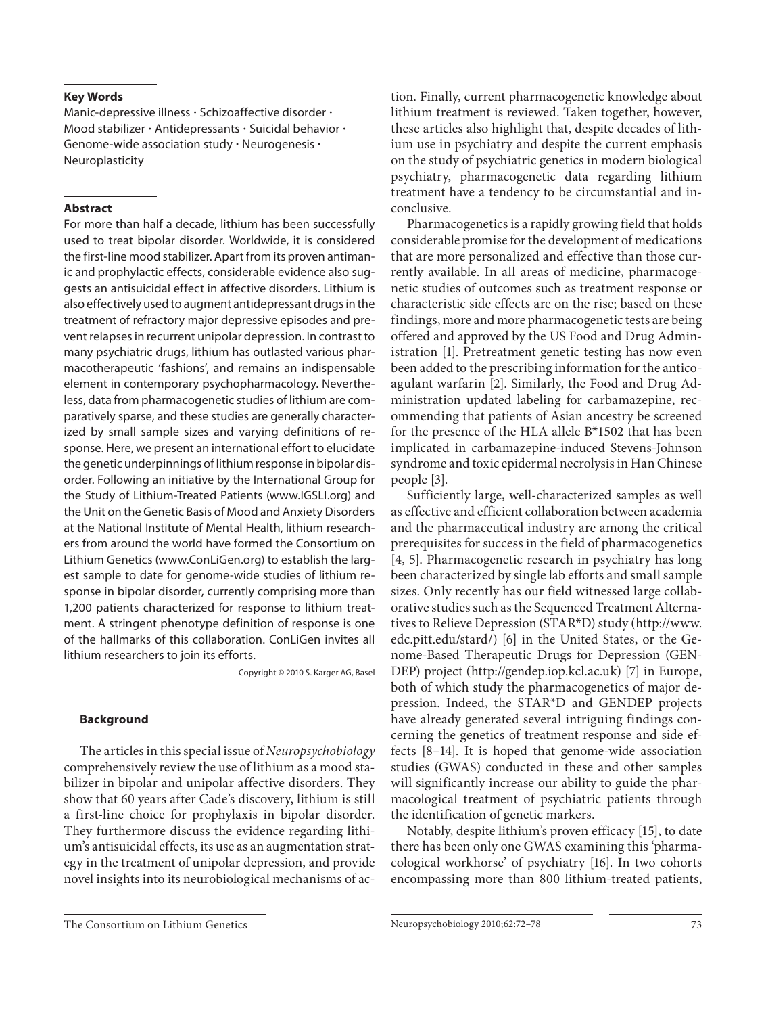#### **Key Words**

 Manic-depressive illness - Schizoaffective disorder - Mood stabilizer - Antidepressants - Suicidal behavior - Genome-wide association study  $\cdot$  Neurogenesis  $\cdot$ Neuroplasticity

#### **Abstract**

 For more than half a decade, lithium has been successfully used to treat bipolar disorder. Worldwide, it is considered the first-line mood stabilizer. Apart from its proven antimanic and prophylactic effects, considerable evidence also suggests an antisuicidal effect in affective disorders. Lithium is also effectively used to augment antidepressant drugs in the treatment of refractory major depressive episodes and prevent relapses in recurrent unipolar depression. In contrast to many psychiatric drugs, lithium has outlasted various pharmacotherapeutic 'fashions', and remains an indispensable element in contemporary psychopharmacology. Nevertheless, data from pharmacogenetic studies of lithium are comparatively sparse, and these studies are generally characterized by small sample sizes and varying definitions of response. Here, we present an international effort to elucidate the genetic underpinnings of lithium response in bipolar disorder. Following an initiative by the International Group for the Study of Lithium-Treated Patients (www.IGSLI.org) and the Unit on the Genetic Basis of Mood and Anxiety Disorders at the National Institute of Mental Health, lithium researchers from around the world have formed the Consortium on Lithium Genetics (www.ConLiGen.org) to establish the largest sample to date for genome-wide studies of lithium response in bipolar disorder, currently comprising more than 1,200 patients characterized for response to lithium treatment. A stringent phenotype definition of response is one of the hallmarks of this collaboration. ConLiGen invites all lithium researchers to join its efforts.

Copyright © 2010 S. Karger AG, Basel

#### **Background**

 The articles in this special issue of *Neuropsychobiology* comprehensively review the use of lithium as a mood stabilizer in bipolar and unipolar affective disorders. They show that 60 years after Cade's discovery, lithium is still a first-line choice for prophylaxis in bipolar disorder. They furthermore discuss the evidence regarding lithium's antisuicidal effects, its use as an augmentation strategy in the treatment of unipolar depression, and provide novel insights into its neurobiological mechanisms of action. Finally, current pharmacogenetic knowledge about lithium treatment is reviewed. Taken together, however, these articles also highlight that, despite decades of lithium use in psychiatry and despite the current emphasis on the study of psychiatric genetics in modern biological psychiatry, pharmacogenetic data regarding lithium treatment have a tendency to be circumstantial and inconclusive.

 Pharmacogenetics is a rapidly growing field that holds considerable promise for the development of medications that are more personalized and effective than those currently available. In all areas of medicine, pharmacogenetic studies of outcomes such as treatment response or characteristic side effects are on the rise; based on these findings, more and more pharmacogenetic tests are being offered and approved by the US Food and Drug Administration [1]. Pretreatment genetic testing has now even been added to the prescribing information for the anticoagulant warfarin [2]. Similarly, the Food and Drug Administration updated labeling for carbamazepine, recommending that patients of Asian ancestry be screened for the presence of the HLA allele  $B*1502$  that has been implicated in carbamazepine-induced Stevens-Johnson syndrome and toxic epidermal necrolysis in Han Chinese people [3].

 Sufficiently large, well-characterized samples as well as effective and efficient collaboration between academia and the pharmaceutical industry are among the critical prerequisites for success in the field of pharmacogenetics [4, 5]. Pharmacogenetic research in psychiatry has long been characterized by single lab efforts and small sample sizes. Only recently has our field witnessed large collaborative studies such as the Sequenced Treatment Alternatives to Relieve Depression (STAR\*D) study (http://www. edc.pitt.edu/stard/) [6] in the United States, or the Genome-Based Therapeutic Drugs for Depression (GEN-DEP) project (http://gendep.iop.kcl.ac.uk) [7] in Europe, both of which study the pharmacogenetics of major depression. Indeed, the STAR\*D and GENDEP projects have already generated several intriguing findings concerning the genetics of treatment response and side effects  $[8-14]$ . It is hoped that genome-wide association studies (GWAS) conducted in these and other samples will significantly increase our ability to guide the pharmacological treatment of psychiatric patients through the identification of genetic markers.

 Notably, despite lithium's proven efficacy [15] , to date there has been only one GWAS examining this 'pharmacological workhorse' of psychiatry [16] . In two cohorts encompassing more than 800 lithium-treated patients,

The Consortium on Lithium Genetics T3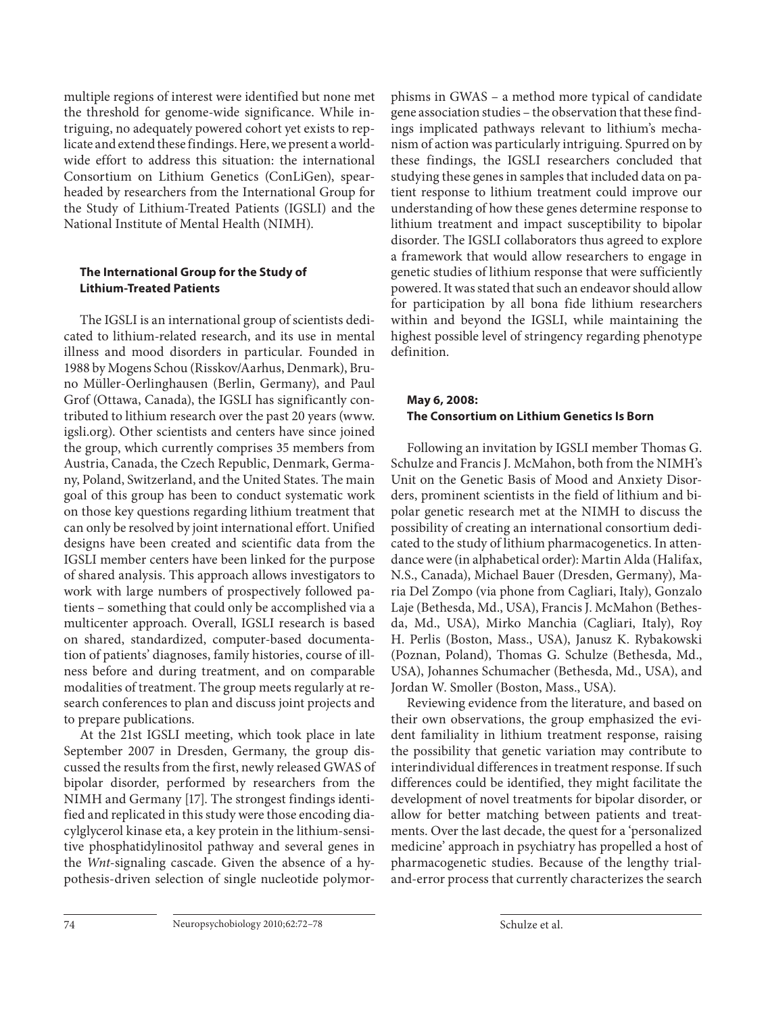multiple regions of interest were identified but none met the threshold for genome-wide significance. While intriguing, no adequately powered cohort yet exists to replicate and extend these findings. Here, we present a worldwide effort to address this situation: the international Consortium on Lithium Genetics (ConLiGen), spearheaded by researchers from the International Group for the Study of Lithium-Treated Patients (IGSLI) and the National Institute of Mental Health (NIMH).

## **The International Group for the Study of Lithium-Treated Patients**

 The IGSLI is an international group of scientists dedicated to lithium-related research, and its use in mental illness and mood disorders in particular. Founded in 1988 by Mogens Schou (Risskov/Aarhus, Denmark), Bruno Müller-Oerlinghausen (Berlin, Germany), and Paul Grof (Ottawa, Canada), the IGSLI has significantly contributed to lithium research over the past 20 years (www. igsli.org). Other scientists and centers have since joined the group, which currently comprises 35 members from Austria, Canada, the Czech Republic, Denmark, Germany, Poland, Switzerland, and the United States. The main goal of this group has been to conduct systematic work on those key questions regarding lithium treatment that can only be resolved by joint international effort. Unified designs have been created and scientific data from the IGSLI member centers have been linked for the purpose of shared analysis. This approach allows investigators to work with large numbers of prospectively followed patients – something that could only be accomplished via a multicenter approach. Overall, IGSLI research is based on shared, standardized, computer-based documentation of patients' diagnoses, family histories, course of illness before and during treatment, and on comparable modalities of treatment. The group meets regularly at research conferences to plan and discuss joint projects and to prepare publications.

 At the 21st IGSLI meeting, which took place in late September 2007 in Dresden, Germany, the group discussed the results from the first, newly released GWAS of bipolar disorder, performed by researchers from the NIMH and Germany [17]. The strongest findings identified and replicated in this study were those encoding diacylglycerol kinase eta, a key protein in the lithium-sensitive phosphatidylinositol pathway and several genes in the *Wnt*-signaling cascade. Given the absence of a hypothesis-driven selection of single nucleotide polymor-

phisms in GWAS – a method more typical of candidate gene association studies – the observation that these findings implicated pathways relevant to lithium's mechanism of action was particularly intriguing. Spurred on by these findings, the IGSLI researchers concluded that studying these genes in samples that included data on patient response to lithium treatment could improve our understanding of how these genes determine response to lithium treatment and impact susceptibility to bipolar disorder. The IGSLI collaborators thus agreed to explore a framework that would allow researchers to engage in genetic studies of lithium response that were sufficiently powered. It was stated that such an endeavor should allow for participation by all bona fide lithium researchers within and beyond the IGSLI, while maintaining the highest possible level of stringency regarding phenotype definition.

## **May 6, 2008: The Consortium on Lithium Genetics Is Born**

 Following an invitation by IGSLI member Thomas G. Schulze and Francis J. McMahon, both from the NIMH's Unit on the Genetic Basis of Mood and Anxiety Disorders, prominent scientists in the field of lithium and bipolar genetic research met at the NIMH to discuss the possibility of creating an international consortium dedicated to the study of lithium pharmacogenetics. In attendance were (in alphabetical order): Martin Alda (Halifax, N.S., Canada), Michael Bauer (Dresden, Germany), Maria Del Zompo (via phone from Cagliari, Italy), Gonzalo Laje (Bethesda, Md., USA), Francis J. McMahon (Bethesda, Md., USA), Mirko Manchia (Cagliari, Italy), Roy H. Perlis (Boston, Mass., USA), Janusz K. Rybakowski (Poznan, Poland), Thomas G. Schulze (Bethesda, Md., USA), Johannes Schumacher (Bethesda, Md., USA), and Jordan W. Smoller (Boston, Mass., USA).

 Reviewing evidence from the literature, and based on their own observations, the group emphasized the evident familiality in lithium treatment response, raising the possibility that genetic variation may contribute to interindividual differences in treatment response. If such differences could be identified, they might facilitate the development of novel treatments for bipolar disorder, or allow for better matching between patients and treatments. Over the last decade, the quest for a 'personalized medicine' approach in psychiatry has propelled a host of pharmacogenetic studies. Because of the lengthy trialand-error process that currently characterizes the search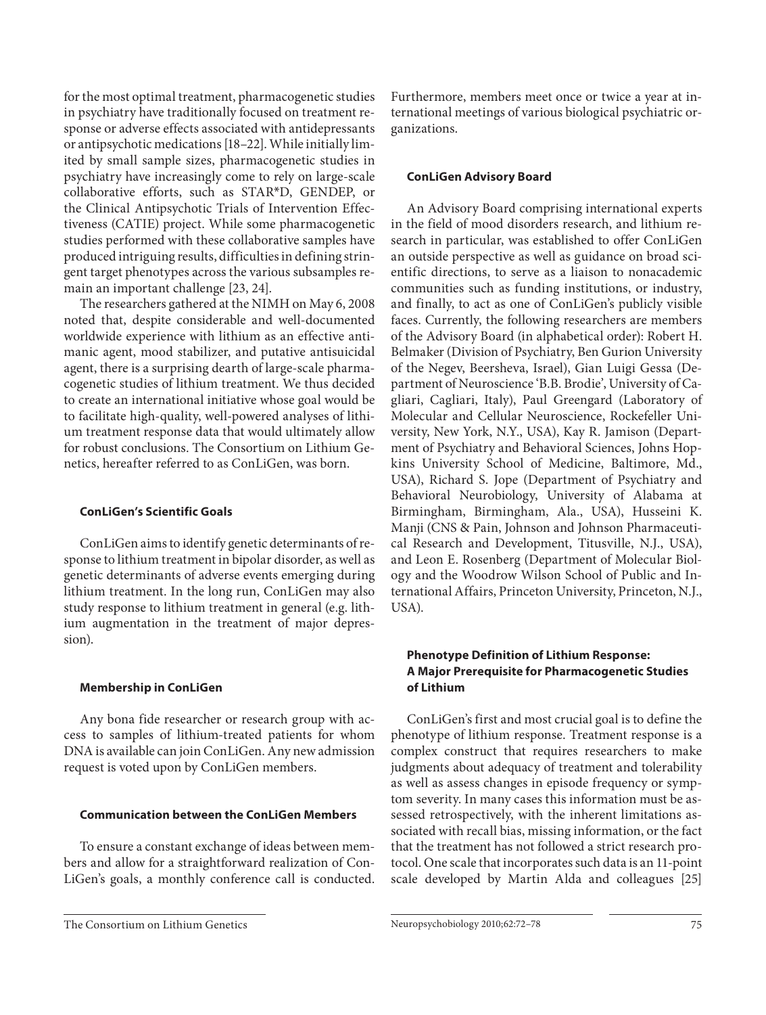for the most optimal treatment, pharmacogenetic studies in psychiatry have traditionally focused on treatment response or adverse effects associated with antidepressants or antipsychotic medications [18–22] . While initially limited by small sample sizes, pharmacogenetic studies in psychiatry have increasingly come to rely on large-scale collaborative efforts, such as STAR\*D, GENDEP, or the Clinical Antipsychotic Trials of Intervention Effectiveness (CATIE) project. While some pharmacogenetic studies performed with these collaborative samples have produced intriguing results, difficulties in defining stringent target phenotypes across the various subsamples remain an important challenge [23, 24] .

 The researchers gathered at the NIMH on May 6, 2008 noted that, despite considerable and well-documented worldwide experience with lithium as an effective antimanic agent, mood stabilizer, and putative antisuicidal agent, there is a surprising dearth of large-scale pharmacogenetic studies of lithium treatment. We thus decided to create an international initiative whose goal would be to facilitate high-quality, well-powered analyses of lithium treatment response data that would ultimately allow for robust conclusions. The Consortium on Lithium Genetics, hereafter referred to as ConLiGen, was born.

## **ConLiGen's Scientific Goals**

 ConLiGen aims to identify genetic determinants of response to lithium treatment in bipolar disorder, as well as genetic determinants of adverse events emerging during lithium treatment. In the long run, ConLiGen may also study response to lithium treatment in general (e.g. lithium augmentation in the treatment of major depression).

## **Membership in ConLiGen**

 Any bona fide researcher or research group with access to samples of lithium-treated patients for whom DNA is available can join ConLiGen. Any new admission request is voted upon by ConLiGen members.

## **Communication between the ConLiGen Members**

 To ensure a constant exchange of ideas between members and allow for a straightforward realization of Con-LiGen's goals, a monthly conference call is conducted. Furthermore, members meet once or twice a year at international meetings of various biological psychiatric organizations.

## **ConLiGen Advisory Board**

 An Advisory Board comprising international experts in the field of mood disorders research, and lithium research in particular, was established to offer ConLiGen an outside perspective as well as guidance on broad scientific directions, to serve as a liaison to nonacademic communities such as funding institutions, or industry, and finally, to act as one of ConLiGen's publicly visible faces. Currently, the following researchers are members of the Advisory Board (in alphabetical order): Robert H. Belmaker (Division of Psychiatry, Ben Gurion University of the Negev, Beersheva, Israel), Gian Luigi Gessa (Department of Neuroscience 'B.B. Brodie', University of Cagliari, Cagliari, Italy), Paul Greengard (Laboratory of Molecular and Cellular Neuroscience, Rockefeller University, New York, N.Y., USA), Kay R. Jamison (Department of Psychiatry and Behavioral Sciences, Johns Hopkins University School of Medicine, Baltimore, Md., USA), Richard S. Jope (Department of Psychiatry and Behavioral Neurobiology, University of Alabama at Birmingham, Birmingham, Ala., USA), Husseini K. Manji (CNS & Pain, Johnson and Johnson Pharmaceutical Research and Development, Titusville, N.J., USA), and Leon E. Rosenberg (Department of Molecular Biology and the Woodrow Wilson School of Public and International Affairs, Princeton University, Princeton, N.J., USA).

## **Phenotype Definition of Lithium Response: A Major Prerequisite for Pharmacogenetic Studies of Lithium**

 ConLiGen's first and most crucial goal is to define the phenotype of lithium response. Treatment response is a complex construct that requires researchers to make judgments about adequacy of treatment and tolerability as well as assess changes in episode frequency or symptom severity. In many cases this information must be assessed retrospectively, with the inherent limitations associated with recall bias, missing information, or the fact that the treatment has not followed a strict research protocol. One scale that incorporates such data is an 11-point scale developed by Martin Alda and colleagues [25]

The Consortium on Lithium Genetics T5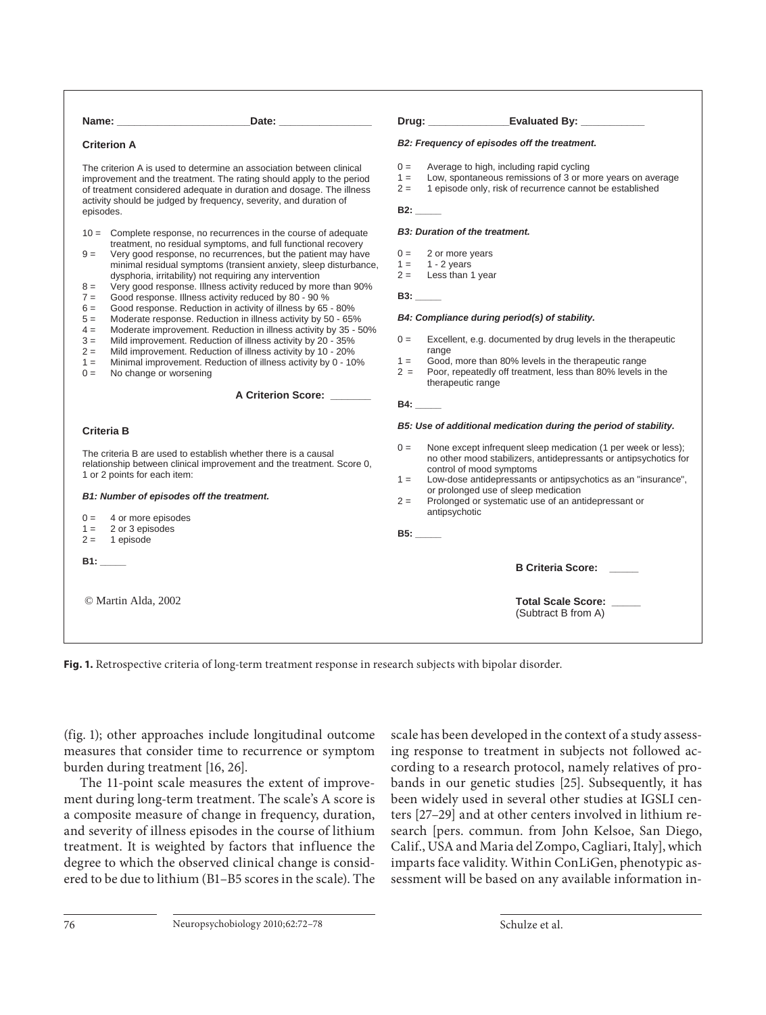| B2: Frequency of episodes off the treatment.<br>$0 =$<br>Average to high, including rapid cycling<br>Low, spontaneous remissions of 3 or more years on average<br>$1 =$<br>1 episode only, risk of recurrence cannot be established<br>$2 =$<br><b>B2:</b><br><b>B3: Duration of the treatment.</b><br>$0 =$<br>2 or more years<br>$1 = 1 - 2$ years<br>$2 =$<br>Less than 1 year<br>B4: Compliance during period(s) of stability.<br>$0 =$<br>Excellent, e.g. documented by drug levels in the therapeutic<br>range<br>$1 =$<br>Good, more than 80% levels in the therapeutic range<br>Poor, repeatedly off treatment, less than 80% levels in the<br>$2 =$ |
|--------------------------------------------------------------------------------------------------------------------------------------------------------------------------------------------------------------------------------------------------------------------------------------------------------------------------------------------------------------------------------------------------------------------------------------------------------------------------------------------------------------------------------------------------------------------------------------------------------------------------------------------------------------|
|                                                                                                                                                                                                                                                                                                                                                                                                                                                                                                                                                                                                                                                              |
|                                                                                                                                                                                                                                                                                                                                                                                                                                                                                                                                                                                                                                                              |
| therapeutic range                                                                                                                                                                                                                                                                                                                                                                                                                                                                                                                                                                                                                                            |
| <b>B4:</b>                                                                                                                                                                                                                                                                                                                                                                                                                                                                                                                                                                                                                                                   |
| B5: Use of additional medication during the period of stability.                                                                                                                                                                                                                                                                                                                                                                                                                                                                                                                                                                                             |
| None except infrequent sleep medication (1 per week or less);<br>$0 =$<br>no other mood stabilizers, antidepressants or antipsychotics for<br>control of mood symptoms<br>Low-dose antidepressants or antipsychotics as an "insurance",<br>$1 =$<br>or prolonged use of sleep medication                                                                                                                                                                                                                                                                                                                                                                     |
| $2 =$<br>Prolonged or systematic use of an antidepressant or<br>antipsychotic<br><b>B5:</b>                                                                                                                                                                                                                                                                                                                                                                                                                                                                                                                                                                  |
| <b>B Criteria Score:</b>                                                                                                                                                                                                                                                                                                                                                                                                                                                                                                                                                                                                                                     |
| <b>Total Scale Score:</b><br>(Subtract B from A)                                                                                                                                                                                                                                                                                                                                                                                                                                                                                                                                                                                                             |
|                                                                                                                                                                                                                                                                                                                                                                                                                                                                                                                                                                                                                                                              |

**Fig. 1.** Retrospective criteria of long-term treatment response in research subjects with bipolar disorder.

(fig. 1); other approaches include longitudinal outcome measures that consider time to recurrence or symptom burden during treatment [16, 26] .

 The 11-point scale measures the extent of improvement during long-term treatment. The scale's A score is a composite measure of change in frequency, duration, and severity of illness episodes in the course of lithium treatment. It is weighted by factors that influence the degree to which the observed clinical change is considered to be due to lithium (B1–B5 scores in the scale). The scale has been developed in the context of a study assessing response to treatment in subjects not followed according to a research protocol, namely relatives of probands in our genetic studies [25]. Subsequently, it has been widely used in several other studies at IGSLI centers [27–29] and at other centers involved in lithium research [pers. commun. from John Kelsoe, San Diego, Calif., USA and Maria del Zompo, Cagliari, Italy], which imparts face validity. Within ConLiGen, phenotypic assessment will be based on any available information in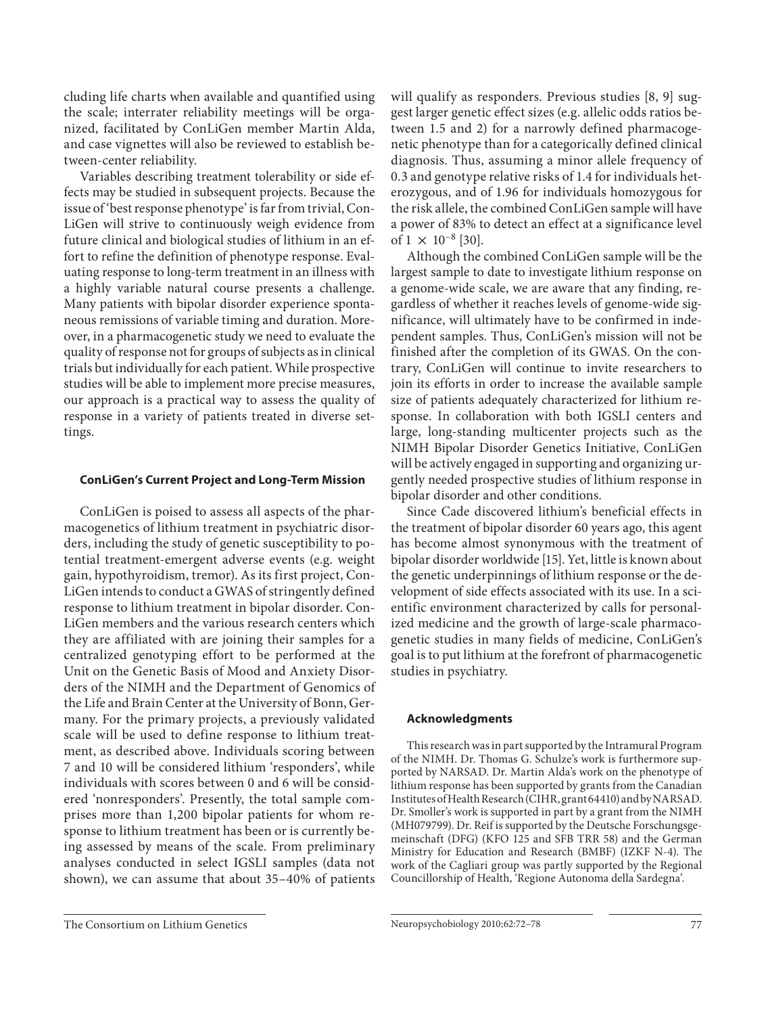cluding life charts when available and quantified using the scale; interrater reliability meetings will be organized, facilitated by ConLiGen member Martin Alda, and case vignettes will also be reviewed to establish between-center reliability.

 Variables describing treatment tolerability or side effects may be studied in subsequent projects. Because the issue of 'best response phenotype' is far from trivial, Con-LiGen will strive to continuously weigh evidence from future clinical and biological studies of lithium in an effort to refine the definition of phenotype response. Evaluating response to long-term treatment in an illness with a highly variable natural course presents a challenge. Many patients with bipolar disorder experience spontaneous remissions of variable timing and duration. Moreover, in a pharmacogenetic study we need to evaluate the quality of response not for groups of subjects as in clinical trials but individually for each patient. While prospective studies will be able to implement more precise measures, our approach is a practical way to assess the quality of response in a variety of patients treated in diverse settings.

#### **ConLiGen's Current Project and Long-Term Mission**

 ConLiGen is poised to assess all aspects of the pharmacogenetics of lithium treatment in psychiatric disorders, including the study of genetic susceptibility to potential treatment-emergent adverse events (e.g. weight gain, hypothyroidism, tremor). As its first project, Con-LiGen intends to conduct a GWAS of stringently defined response to lithium treatment in bipolar disorder. Con-LiGen members and the various research centers which they are affiliated with are joining their samples for a centralized genotyping effort to be performed at the Unit on the Genetic Basis of Mood and Anxiety Disorders of the NIMH and the Department of Genomics of the Life and Brain Center at the University of Bonn, Germany. For the primary projects, a previously validated scale will be used to define response to lithium treatment, as described above. Individuals scoring between 7 and 10 will be considered lithium 'responders', while individuals with scores between 0 and 6 will be considered 'nonresponders'. Presently, the total sample comprises more than 1,200 bipolar patients for whom response to lithium treatment has been or is currently being assessed by means of the scale. From preliminary analyses conducted in select IGSLI samples (data not shown), we can assume that about 35–40% of patients

will qualify as responders. Previous studies [8, 9] suggest larger genetic effect sizes (e.g. allelic odds ratios between 1.5 and 2) for a narrowly defined pharmacogenetic phenotype than for a categorically defined clinical diagnosis. Thus, assuming a minor allele frequency of 0.3 and genotype relative risks of 1.4 for individuals heterozygous, and of 1.96 for individuals homozygous for the risk allele, the combined ConLiGen sample will have a power of 83% to detect an effect at a significance level of  $1 \times 10^{-8}$  [30].

 Although the combined ConLiGen sample will be the largest sample to date to investigate lithium response on a genome-wide scale, we are aware that any finding, regardless of whether it reaches levels of genome-wide significance, will ultimately have to be confirmed in independent samples. Thus, ConLiGen's mission will not be finished after the completion of its GWAS. On the contrary, ConLiGen will continue to invite researchers to join its efforts in order to increase the available sample size of patients adequately characterized for lithium response. In collaboration with both IGSLI centers and large, long-standing multicenter projects such as the NIMH Bipolar Disorder Genetics Initiative, ConLiGen will be actively engaged in supporting and organizing urgently needed prospective studies of lithium response in bipolar disorder and other conditions.

 Since Cade discovered lithium's beneficial effects in the treatment of bipolar disorder 60 years ago, this agent has become almost synonymous with the treatment of bipolar disorder worldwide [15] . Yet, little is known about the genetic underpinnings of lithium response or the development of side effects associated with its use. In a scientific environment characterized by calls for personalized medicine and the growth of large-scale pharmacogenetic studies in many fields of medicine, ConLiGen's goal is to put lithium at the forefront of pharmacogenetic studies in psychiatry.

#### **Acknowledgments**

 This research was in part supported by the Intramural Program of the NIMH. Dr. Thomas G. Schulze's work is furthermore supported by NARSAD. Dr. Martin Alda's work on the phenotype of lithium response has been supported by grants from the Canadian Institutes of Health Research (CIHR, grant 64410) and by NARSAD. Dr. Smoller's work is supported in part by a grant from the NIMH (MH079799). Dr. Reif is supported by the Deutsche Forschungsgemeinschaft (DFG) (KFO 125 and SFB TRR 58) and the German Ministry for Education and Research (BMBF) (IZKF N-4). The work of the Cagliari group was partly supported by the Regional Councillorship of Health, 'Regione Autonoma della Sardegna'.

The Consortium on Lithium Genetics Neuropsychobiology 2010;62:72–78 77